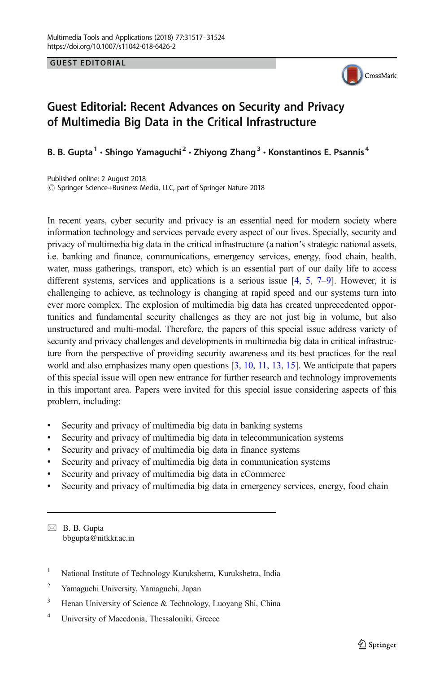**GUEST EDITORIAL** GUEST EDITORIAL



## Guest Editorial: Recent Advances on Security and Privacy of Multimedia Big Data in the Critical Infrastructure

B. B. Gupta<sup>1</sup> • Shingo Yamaguchi<sup>2</sup> • Zhiyong Zhang<sup>3</sup> • Konstantinos E. Psannis<sup>4</sup>

Published online: 2 August 2018  $\circled{c}$  Springer Science+Business Media, LLC, part of Springer Nature 2018

In recent years, cyber security and privacy is an essential need for modern society where information technology and services pervade every aspect of our lives. Specially, security and privacy of multimedia big data in the critical infrastructure (a nation's strategic national assets, i.e. banking and finance, communications, emergency services, energy, food chain, health, water, mass gatherings, transport, etc) which is an essential part of our daily life to access different systems, services and applications is a serious issue  $[4, 5, 7-9]$  $[4, 5, 7-9]$  $[4, 5, 7-9]$  $[4, 5, 7-9]$  $[4, 5, 7-9]$  $[4, 5, 7-9]$  $[4, 5, 7-9]$  $[4, 5, 7-9]$ . However, it is challenging to achieve, as technology is changing at rapid speed and our systems turn into ever more complex. The explosion of multimedia big data has created unprecedented opportunities and fundamental security challenges as they are not just big in volume, but also unstructured and multi-modal. Therefore, the papers of this special issue address variety of security and privacy challenges and developments in multimedia big data in critical infrastructure from the perspective of providing security awareness and its best practices for the real world and also emphasizes many open questions [[3,](#page-6-0) [10,](#page-7-0) [11](#page-7-0), [13](#page-7-0), [15](#page-7-0)]. We anticipate that papers of this special issue will open new entrance for further research and technology improvements in this important area. Papers were invited for this special issue considering aspects of this problem, including:

- Security and privacy of multimedia big data in banking systems
- & Security and privacy of multimedia big data in telecommunication systems
- & Security and privacy of multimedia big data in finance systems
- & Security and privacy of multimedia big data in communication systems
- & Security and privacy of multimedia big data in eCommerce
- Security and privacy of multimedia big data in emergency services, energy, food chain

 $\boxtimes$  B. B. Gupta [bbgupta@nitkkr.ac.in](mailto:bbgupta@nitkkr.ac.in)

- <sup>1</sup> National Institute of Technology Kurukshetra, Kurukshetra, India
- <sup>2</sup> Yamaguchi University, Yamaguchi, Japan
- <sup>3</sup> Henan University of Science & Technology, Luoyang Shi, China
- <sup>4</sup> University of Macedonia, Thessaloniki, Greece\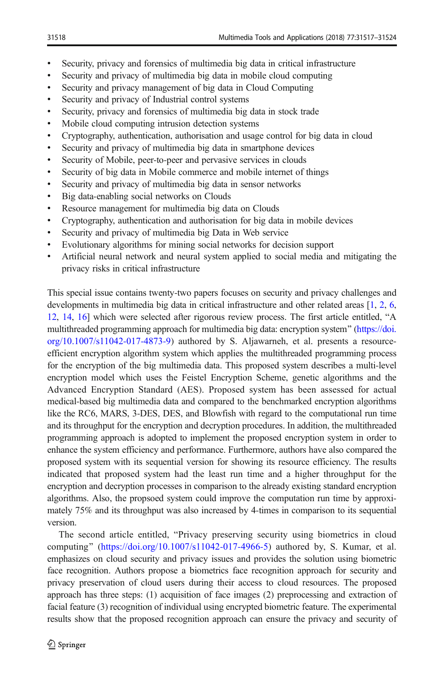- & Security, privacy and forensics of multimedia big data in critical infrastructure
- & Security and privacy of multimedia big data in mobile cloud computing
- & Security and privacy management of big data in Cloud Computing
- & Security and privacy of Industrial control systems
- & Security, privacy and forensics of multimedia big data in stock trade
- & Mobile cloud computing intrusion detection systems
- & Cryptography, authentication, authorisation and usage control for big data in cloud
- Security and privacy of multimedia big data in smartphone devices
- & Security of Mobile, peer-to-peer and pervasive services in clouds
- & Security of big data in Mobile commerce and mobile internet of things
- Security and privacy of multimedia big data in sensor networks
- & Big data-enabling social networks on Clouds
- & Resource management for multimedia big data on Clouds
- & Cryptography, authentication and authorisation for big data in mobile devices
- & Security and privacy of multimedia big Data in Web service
- & Evolutionary algorithms for mining social networks for decision support
- & Artificial neural network and neural system applied to social media and mitigating the privacy risks in critical infrastructure

This special issue contains twenty-two papers focuses on security and privacy challenges and developments in multimedia big data in critical infrastructure and other related areas [\[1,](#page-6-0) [2,](#page-6-0) [6](#page-6-0), [12](#page-7-0), [14,](#page-7-0) [16\]](#page-7-0) which were selected after rigorous review process. The first article entitled, "A multithreaded programming approach for multimedia big data: encryption system" [\(https://doi.](https://doi.org/10.1007/s11042-017-4873-9) [org/10.1007/s11042-017-4873-9](https://doi.org/10.1007/s11042-017-4873-9)) authored by S. Aljawarneh, et al. presents a resourceefficient encryption algorithm system which applies the multithreaded programming process for the encryption of the big multimedia data. This proposed system describes a multi-level encryption model which uses the Feistel Encryption Scheme, genetic algorithms and the Advanced Encryption Standard (AES). Proposed system has been assessed for actual medical-based big multimedia data and compared to the benchmarked encryption algorithms like the RC6, MARS, 3-DES, DES, and Blowfish with regard to the computational run time and its throughput for the encryption and decryption procedures. In addition, the multithreaded programming approach is adopted to implement the proposed encryption system in order to enhance the system efficiency and performance. Furthermore, authors have also compared the proposed system with its sequential version for showing its resource efficiency. The results indicated that proposed system had the least run time and a higher throughput for the encryption and decryption processes in comparison to the already existing standard encryption algorithms. Also, the propsoed system could improve the computation run time by approximately 75% and its throughput was also increased by 4-times in comparison to its sequential version.

The second article entitled, "Privacy preserving security using biometrics in cloud computing" ([https://doi.org/10.1007/s11042-017-4966-5\)](https://doi.org/10.1007/s11042-017-4966-5) authored by, S. Kumar, et al. emphasizes on cloud security and privacy issues and provides the solution using biometric face recognition. Authors propose a biometrics face recognition approach for security and privacy preservation of cloud users during their access to cloud resources. The proposed approach has three steps: (1) acquisition of face images (2) preprocessing and extraction of facial feature (3) recognition of individual using encrypted biometric feature. The experimental results show that the proposed recognition approach can ensure the privacy and security of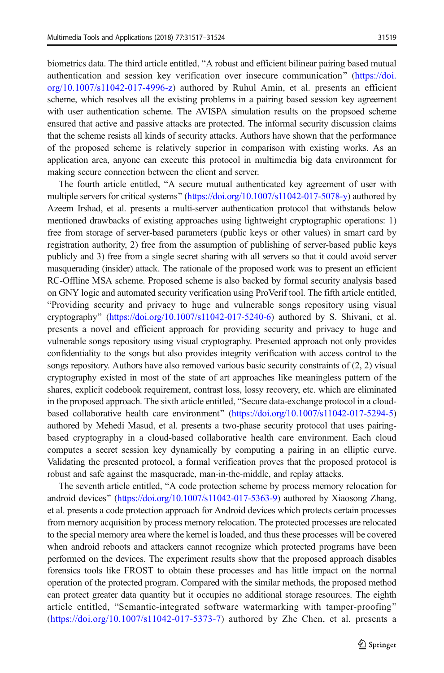biometrics data. The third article entitled, "A robust and efficient bilinear pairing based mutual authentication and session key verification over insecure communication<sup>"</sup> [\(https://doi.](https://doi.org/10.1007/s11042-017-4996-z) [org/10.1007/s11042-017-4996-z\)](https://doi.org/10.1007/s11042-017-4996-z) authored by Ruhul Amin, et al. presents an efficient scheme, which resolves all the existing problems in a pairing based session key agreement with user authentication scheme. The AVISPA simulation results on the propsoed scheme ensured that active and passive attacks are protected. The informal security discussion claims that the scheme resists all kinds of security attacks. Authors have shown that the performance of the proposed scheme is relatively superior in comparison with existing works. As an application area, anyone can execute this protocol in multimedia big data environment for making secure connection between the client and server.

The fourth article entitled, "A secure mutual authenticated key agreement of user with multiple servers for critical systems" [\(https://doi.org/10.1007/s11042-017-5078-y](https://doi.org/10.1007/s11042-017-5078-y)) authored by Azeem Irshad, et al. presents a multi-server authentication protocol that withstands below mentioned drawbacks of existing approaches using lightweight cryptographic operations: 1) free from storage of server-based parameters (public keys or other values) in smart card by registration authority, 2) free from the assumption of publishing of server-based public keys publicly and 3) free from a single secret sharing with all servers so that it could avoid server masquerading (insider) attack. The rationale of the proposed work was to present an efficient RC-Offline MSA scheme. Proposed scheme is also backed by formal security analysis based on GNY logic and automated security verification using ProVerif tool. The fifth article entitled, BProviding security and privacy to huge and vulnerable songs repository using visual cryptography" [\(https://doi.org/10.1007/s11042-017-5240-6](https://doi.org/10.1007/s11042-017-5240-6)) authored by S. Shivani, et al. presents a novel and efficient approach for providing security and privacy to huge and vulnerable songs repository using visual cryptography. Presented approach not only provides confidentiality to the songs but also provides integrity verification with access control to the songs repository. Authors have also removed various basic security constraints of (2, 2) visual cryptography existed in most of the state of art approaches like meaningless pattern of the shares, explicit codebook requirement, contrast loss, lossy recovery, etc. which are eliminated in the proposed approach. The sixth article entitled, "Secure data-exchange protocol in a cloud-based collaborative health care environment" [\(https://doi.org/10.1007/s11042-017-5294-5\)](https://doi.org/10.1007/s11042-017-5294-5) authored by Mehedi Masud, et al. presents a two-phase security protocol that uses pairingbased cryptography in a cloud-based collaborative health care environment. Each cloud computes a secret session key dynamically by computing a pairing in an elliptic curve. Validating the presented protocol, a formal verification proves that the proposed protocol is robust and safe against the masquerade, man-in-the-middle, and replay attacks.

The seventh article entitled, "A code protection scheme by process memory relocation for android devices" [\(https://doi.org/10.1007/s11042-017-5363-9\)](https://doi.org/10.1007/s11042-017-5363-9) authored by Xiaosong Zhang, et al. presents a code protection approach for Android devices which protects certain processes from memory acquisition by process memory relocation. The protected processes are relocated to the special memory area where the kernel is loaded, and thus these processes will be covered when android reboots and attackers cannot recognize which protected programs have been performed on the devices. The experiment results show that the proposed approach disables forensics tools like FROST to obtain these processes and has little impact on the normal operation of the protected program. Compared with the similar methods, the proposed method can protect greater data quantity but it occupies no additional storage resources. The eighth article entitled, "Semantic-integrated software watermarking with tamper-proofing" ([https://doi.org/10.1007/s11042-017-5373-7\)](https://doi.org/10.1007/s11042-017-5373-7) authored by Zhe Chen, et al. presents a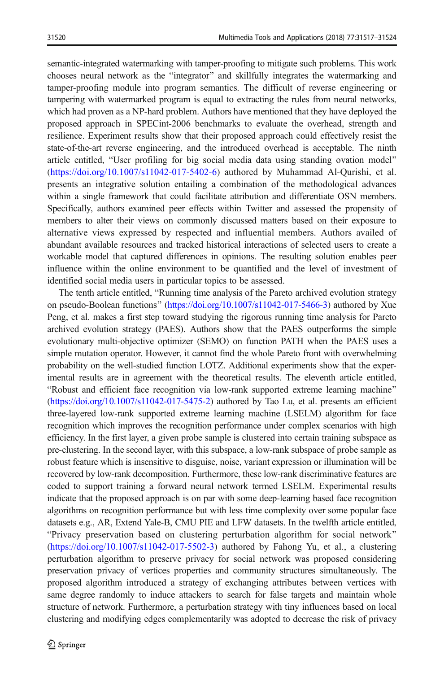semantic-integrated watermarking with tamper-proofing to mitigate such problems. This work chooses neural network as the "integrator" and skillfully integrates the watermarking and tamper-proofing module into program semantics. The difficult of reverse engineering or tampering with watermarked program is equal to extracting the rules from neural networks, which had proven as a NP-hard problem. Authors have mentioned that they have deployed the proposed approach in SPECint-2006 benchmarks to evaluate the overhead, strength and resilience. Experiment results show that their proposed approach could effectively resist the state-of-the-art reverse engineering, and the introduced overhead is acceptable. The ninth article entitled, "User profiling for big social media data using standing ovation model" ([https://doi.org/10.1007/s11042-017-5402-6\)](https://doi.org/10.1007/s11042-017-5402-6) authored by Muhammad Al-Qurishi, et al. presents an integrative solution entailing a combination of the methodological advances within a single framework that could facilitate attribution and differentiate OSN members. Specifically, authors examined peer effects within Twitter and assessed the propensity of members to alter their views on commonly discussed matters based on their exposure to alternative views expressed by respected and influential members. Authors availed of abundant available resources and tracked historical interactions of selected users to create a workable model that captured differences in opinions. The resulting solution enables peer influence within the online environment to be quantified and the level of investment of identified social media users in particular topics to be assessed.

The tenth article entitled, "Running time analysis of the Pareto archived evolution strategy on pseudo-Boolean functions" (<https://doi.org/10.1007/s11042-017-5466-3>) authored by Xue Peng, et al. makes a first step toward studying the rigorous running time analysis for Pareto archived evolution strategy (PAES). Authors show that the PAES outperforms the simple evolutionary multi-objective optimizer (SEMO) on function PATH when the PAES uses a simple mutation operator. However, it cannot find the whole Pareto front with overwhelming probability on the well-studied function LOTZ. Additional experiments show that the experimental results are in agreement with the theoretical results. The eleventh article entitled, "Robust and efficient face recognition via low-rank supported extreme learning machine" (<https://doi.org/10.1007/s11042-017-5475-2>) authored by Tao Lu, et al. presents an efficient three-layered low-rank supported extreme learning machine (LSELM) algorithm for face recognition which improves the recognition performance under complex scenarios with high efficiency. In the first layer, a given probe sample is clustered into certain training subspace as pre-clustering. In the second layer, with this subspace, a low-rank subspace of probe sample as robust feature which is insensitive to disguise, noise, variant expression or illumination will be recovered by low-rank decomposition. Furthermore, these low-rank discriminative features are coded to support training a forward neural network termed LSELM. Experimental results indicate that the proposed approach is on par with some deep-learning based face recognition algorithms on recognition performance but with less time complexity over some popular face datasets e.g., AR, Extend Yale-B, CMU PIE and LFW datasets. In the twelfth article entitled, "Privacy preservation based on clustering perturbation algorithm for social network" (<https://doi.org/10.1007/s11042-017-5502-3>) authored by Fahong Yu, et al., a clustering perturbation algorithm to preserve privacy for social network was proposed considering preservation privacy of vertices properties and community structures simultaneously. The proposed algorithm introduced a strategy of exchanging attributes between vertices with same degree randomly to induce attackers to search for false targets and maintain whole structure of network. Furthermore, a perturbation strategy with tiny influences based on local clustering and modifying edges complementarily was adopted to decrease the risk of privacy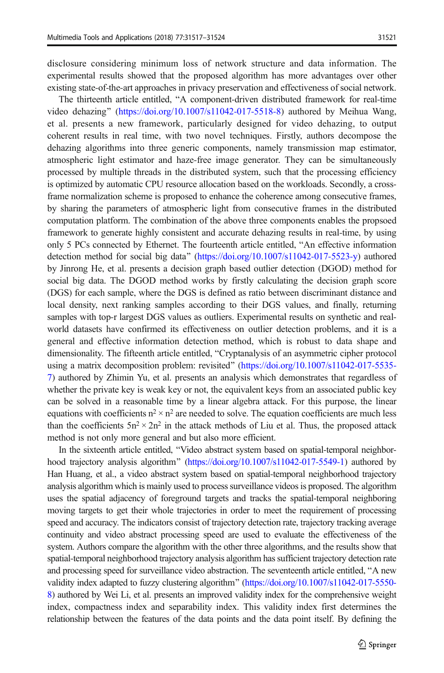disclosure considering minimum loss of network structure and data information. The experimental results showed that the proposed algorithm has more advantages over other existing state-of-the-art approaches in privacy preservation and effectiveness of social network.

The thirteenth article entitled, "A component-driven distributed framework for real-time video dehazing" [\(https://doi.org/10.1007/s11042-017-5518-8](https://doi.org/10.1007/s11042-017-5518-8)) authored by Meihua Wang, et al. presents a new framework, particularly designed for video dehazing, to output coherent results in real time, with two novel techniques. Firstly, authors decompose the dehazing algorithms into three generic components, namely transmission map estimator, atmospheric light estimator and haze-free image generator. They can be simultaneously processed by multiple threads in the distributed system, such that the processing efficiency is optimized by automatic CPU resource allocation based on the workloads. Secondly, a crossframe normalization scheme is proposed to enhance the coherence among consecutive frames, by sharing the parameters of atmospheric light from consecutive frames in the distributed computation platform. The combination of the above three components enables the propsoed framework to generate highly consistent and accurate dehazing results in real-time, by using only 5 PCs connected by Ethernet. The fourteenth article entitled, "An effective information detection method for social big data" [\(https://doi.org/10.1007/s11042-017-5523-y\)](https://doi.org/10.1007/s11042-017-5523-y) authored by Jinrong He, et al. presents a decision graph based outlier detection (DGOD) method for social big data. The DGOD method works by firstly calculating the decision graph score (DGS) for each sample, where the DGS is defined as ratio between discriminant distance and local density, next ranking samples according to their DGS values, and finally, returning samples with top-r largest DGS values as outliers. Experimental results on synthetic and realworld datasets have confirmed its effectiveness on outlier detection problems, and it is a general and effective information detection method, which is robust to data shape and dimensionality. The fifteenth article entitled, "Cryptanalysis of an asymmetric cipher protocol using a matrix decomposition problem: revisited" ([https://doi.org/10.1007/s11042-017-5535-](https://doi.org/10.1007/s11042-017-5535-7) [7](https://doi.org/10.1007/s11042-017-5535-7)) authored by Zhimin Yu, et al. presents an analysis which demonstrates that regardless of whether the private key is weak key or not, the equivalent keys from an associated public key can be solved in a reasonable time by a linear algebra attack. For this purpose, the linear equations with coefficients  $n^2 \times n^2$  are needed to solve. The equation coefficients are much less than the coefficients  $5n^2 \times 2n^2$  in the attack methods of Liu et al. Thus, the proposed attack method is not only more general and but also more efficient.

In the sixteenth article entitled, "Video abstract system based on spatial-temporal neighbor-hood trajectory analysis algorithm" [\(https://doi.org/10.1007/s11042-017-5549-1](https://doi.org/10.1007/s11042-017-5549-1)) authored by Han Huang, et al., a video abstract system based on spatial-temporal neighborhood trajectory analysis algorithm which is mainly used to process surveillance videos is proposed. The algorithm uses the spatial adjacency of foreground targets and tracks the spatial-temporal neighboring moving targets to get their whole trajectories in order to meet the requirement of processing speed and accuracy. The indicators consist of trajectory detection rate, trajectory tracking average continuity and video abstract processing speed are used to evaluate the effectiveness of the system. Authors compare the algorithm with the other three algorithms, and the results show that spatial-temporal neighborhood trajectory analysis algorithm has sufficient trajectory detection rate and processing speed for surveillance video abstraction. The seventeenth article entitled, "A new validity index adapted to fuzzy clustering algorithm" ([https://doi.org/10.1007/s11042-017-5550-](https://doi.org/10.1007/s11042-017-5550-8) [8](https://doi.org/10.1007/s11042-017-5550-8)) authored by Wei Li, et al. presents an improved validity index for the comprehensive weight index, compactness index and separability index. This validity index first determines the relationship between the features of the data points and the data point itself. By defining the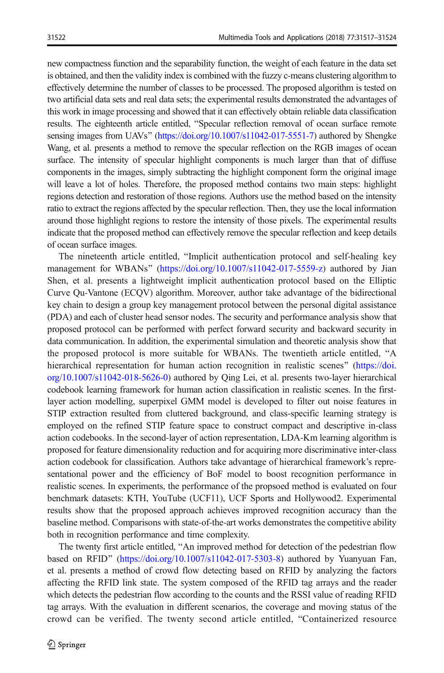new compactness function and the separability function, the weight of each feature in the data set is obtained, and then the validity index is combined with the fuzzy c-means clustering algorithm to effectively determine the number of classes to be processed. The proposed algorithm is tested on two artificial data sets and real data sets; the experimental results demonstrated the advantages of this work in image processing and showed that it can effectively obtain reliable data classification results. The eighteenth article entitled, "Specular reflection removal of ocean surface remote sensing images from UAVs" [\(https://doi.org/10.1007/s11042-017-5551-7\)](https://doi.org/10.1007/s11042-017-5551-7) authored by Shengke Wang, et al. presents a method to remove the specular reflection on the RGB images of ocean surface. The intensity of specular highlight components is much larger than that of diffuse components in the images, simply subtracting the highlight component form the original image will leave a lot of holes. Therefore, the proposed method contains two main steps: highlight regions detection and restoration of those regions. Authors use the method based on the intensity ratio to extract the regions affected by the specular reflection. Then, they use the local information around those highlight regions to restore the intensity of those pixels. The experimental results indicate that the proposed method can effectively remove the specular reflection and keep details of ocean surface images.

The nineteenth article entitled, "Implicit authentication protocol and self-healing key management for WBANs" [\(https://doi.org/10.1007/s11042-017-5559-z](https://doi.org/10.1007/s11042-017-5559-z)) authored by Jian Shen, et al. presents a lightweight implicit authentication protocol based on the Elliptic Curve Qu-Vantone (ECQV) algorithm. Moreover, author take advantage of the bidirectional key chain to design a group key management protocol between the personal digital assistance (PDA) and each of cluster head sensor nodes. The security and performance analysis show that proposed protocol can be performed with perfect forward security and backward security in data communication. In addition, the experimental simulation and theoretic analysis show that the proposed protocol is more suitable for WBANs. The twentieth article entitled, "A hierarchical representation for human action recognition in realistic scenes" [\(https://doi.](https://doi.org/10.1007/s11042-018-5626-0) [org/10.1007/s11042-018-5626-0](https://doi.org/10.1007/s11042-018-5626-0)) authored by Qing Lei, et al. presents two-layer hierarchical codebook learning framework for human action classification in realistic scenes. In the firstlayer action modelling, superpixel GMM model is developed to filter out noise features in STIP extraction resulted from cluttered background, and class-specific learning strategy is employed on the refined STIP feature space to construct compact and descriptive in-class action codebooks. In the second-layer of action representation, LDA-Km learning algorithm is proposed for feature dimensionality reduction and for acquiring more discriminative inter-class action codebook for classification. Authors take advantage of hierarchical framework's representational power and the efficiency of BoF model to boost recognition performance in realistic scenes. In experiments, the performance of the propsoed method is evaluated on four benchmark datasets: KTH, YouTube (UCF11), UCF Sports and Hollywood2. Experimental results show that the proposed approach achieves improved recognition accuracy than the baseline method. Comparisons with state-of-the-art works demonstrates the competitive ability both in recognition performance and time complexity.

The twenty first article entitled, "An improved method for detection of the pedestrian flow based on RFID" ([https://doi.org/10.1007/s11042-017-5303-8\)](https://doi.org/10.1007/s11042-017-5303-8) authored by Yuanyuan Fan, et al. presents a method of crowd flow detecting based on RFID by analyzing the factors affecting the RFID link state. The system composed of the RFID tag arrays and the reader which detects the pedestrian flow according to the counts and the RSSI value of reading RFID tag arrays. With the evaluation in different scenarios, the coverage and moving status of the crowd can be verified. The twenty second article entitled, "Containerized resource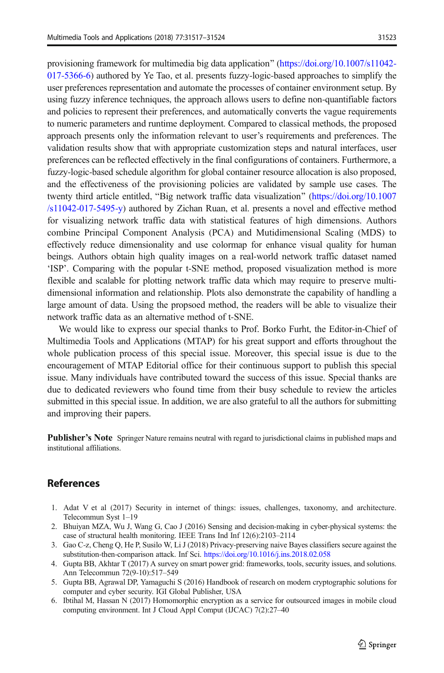<span id="page-6-0"></span>provisioning framework for multimedia big data application" ( $\frac{h \text{ttps}}{h \text{ttps}}$ .//doi.org/10.1007/s11042-[017-5366-6\)](https://doi.org/10.1007/s11042-017-5366-6) authored by Ye Tao, et al. presents fuzzy-logic-based approaches to simplify the user preferences representation and automate the processes of container environment setup. By using fuzzy inference techniques, the approach allows users to define non-quantifiable factors and policies to represent their preferences, and automatically converts the vague requirements to numeric parameters and runtime deployment. Compared to classical methods, the proposed approach presents only the information relevant to user's requirements and preferences. The validation results show that with appropriate customization steps and natural interfaces, user preferences can be reflected effectively in the final configurations of containers. Furthermore, a fuzzy-logic-based schedule algorithm for global container resource allocation is also proposed, and the effectiveness of the provisioning policies are validated by sample use cases. The twenty third article entitled, "Big network traffic data visualization" ([https://doi.org/10.1007](https://doi.org/10.1007/s11042-017-5495-y)  $\sqrt{\frac{s11042-017-5495-v}}$  authored by Zichan Ruan, et al. presents a novel and effective method for visualizing network traffic data with statistical features of high dimensions. Authors combine Principal Component Analysis (PCA) and Mutidimensional Scaling (MDS) to effectively reduce dimensionality and use colormap for enhance visual quality for human beings. Authors obtain high quality images on a real-world network traffic dataset named 'ISP'. Comparing with the popular t-SNE method, proposed visualization method is more flexible and scalable for plotting network traffic data which may require to preserve multidimensional information and relationship. Plots also demonstrate the capability of handling a large amount of data. Using the propsoed method, the readers will be able to visualize their network traffic data as an alternative method of t-SNE.

We would like to express our special thanks to Prof. Borko Furht, the Editor-in-Chief of Multimedia Tools and Applications (MTAP) for his great support and efforts throughout the whole publication process of this special issue. Moreover, this special issue is due to the encouragement of MTAP Editorial office for their continuous support to publish this special issue. Many individuals have contributed toward the success of this issue. Special thanks are due to dedicated reviewers who found time from their busy schedule to review the articles submitted in this special issue. In addition, we are also grateful to all the authors for submitting and improving their papers.

**Publisher's Note** Springer Nature remains neutral with regard to jurisdictional claims in published maps and institutional affiliations.

## References

- 1. Adat V et al (2017) Security in internet of things: issues, challenges, taxonomy, and architecture. Telecommun Syst 1–19
- 2. Bhuiyan MZA, Wu J, Wang G, Cao J (2016) Sensing and decision-making in cyber-physical systems: the case of structural health monitoring. IEEE Trans Ind Inf 12(6):2103–2114
- 3. Gao C-z, Cheng Q, He P, Susilo W, Li J (2018) Privacy-preserving naive Bayes classifiers secure against the substitution-then-comparison attack. Inf Sci. <https://doi.org/10.1016/j.ins.2018.02.058>
- 4. Gupta BB, Akhtar T (2017) A survey on smart power grid: frameworks, tools, security issues, and solutions. Ann Telecommun 72(9-10):517–549
- 5. Gupta BB, Agrawal DP, Yamaguchi S (2016) Handbook of research on modern cryptographic solutions for computer and cyber security. IGI Global Publisher, USA
- 6. Ibtihal M, Hassan N (2017) Homomorphic encryption as a service for outsourced images in mobile cloud computing environment. Int J Cloud Appl Comput (IJCAC) 7(2):27–40